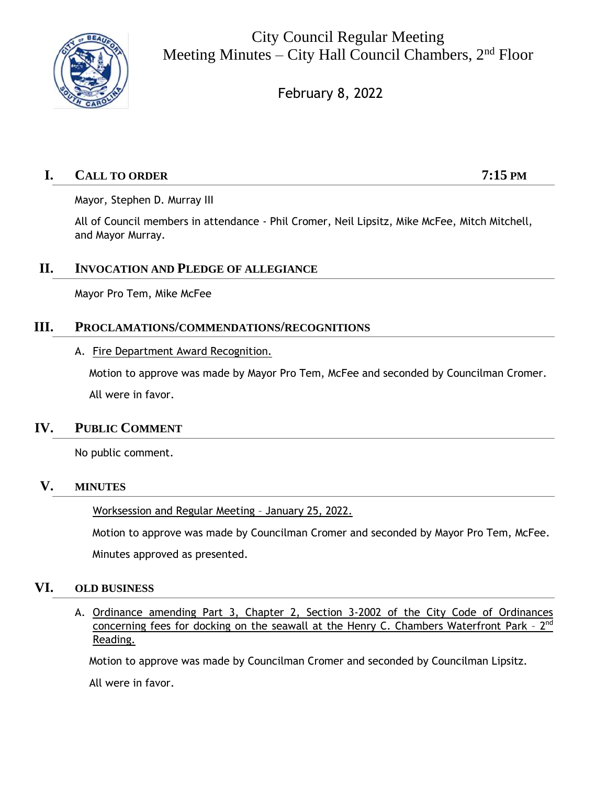

City Council Regular Meeting Meeting Minutes – City Hall Council Chambers,  $2<sup>nd</sup>$  Floor

February 8, 2022

# **I. CALL TO ORDER 7:15 PM**

Mayor, Stephen D. Murray III

All of Council members in attendance - Phil Cromer, Neil Lipsitz, Mike McFee, Mitch Mitchell, and Mayor Murray.

## **II. INVOCATION AND PLEDGE OF ALLEGIANCE**

Mayor Pro Tem, Mike McFee

## **III. PROCLAMATIONS/COMMENDATIONS/RECOGNITIONS**

## A. Fire Department Award Recognition.

Motion to approve was made by Mayor Pro Tem, McFee and seconded by Councilman Cromer. All were in favor.

# **IV. PUBLIC COMMENT**

No public comment.

## **V. MINUTES**

Worksession and Regular Meeting – January 25, 2022.

Motion to approve was made by Councilman Cromer and seconded by Mayor Pro Tem, McFee.

Minutes approved as presented.

## **VI. OLD BUSINESS**

A. Ordinance amending Part 3, Chapter 2, Section 3-2002 of the City Code of Ordinances concerning fees for docking on the seawall at the Henry C. Chambers Waterfront Park - 2<sup>nd</sup> Reading.

Motion to approve was made by Councilman Cromer and seconded by Councilman Lipsitz.

All were in favor.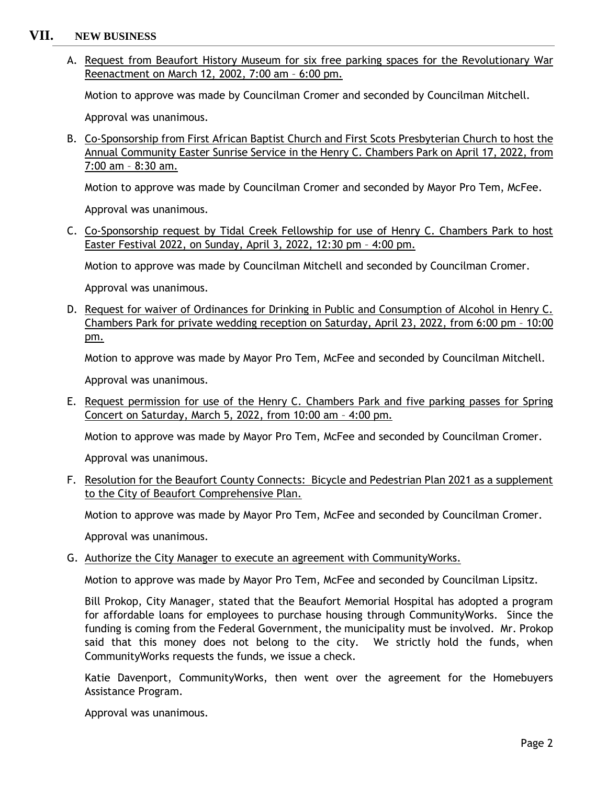## **VII. NEW BUSINESS**

A. Request from Beaufort History Museum for six free parking spaces for the Revolutionary War Reenactment on March 12, 2002, 7:00 am – 6:00 pm.

Motion to approve was made by Councilman Cromer and seconded by Councilman Mitchell.

Approval was unanimous.

B. Co-Sponsorship from First African Baptist Church and First Scots Presbyterian Church to host the Annual Community Easter Sunrise Service in the Henry C. Chambers Park on April 17, 2022, from 7:00 am – 8:30 am.

Motion to approve was made by Councilman Cromer and seconded by Mayor Pro Tem, McFee.

Approval was unanimous.

C. Co-Sponsorship request by Tidal Creek Fellowship for use of Henry C. Chambers Park to host Easter Festival 2022, on Sunday, April 3, 2022, 12:30 pm – 4:00 pm.

Motion to approve was made by Councilman Mitchell and seconded by Councilman Cromer.

Approval was unanimous.

D. Request for waiver of Ordinances for Drinking in Public and Consumption of Alcohol in Henry C. Chambers Park for private wedding reception on Saturday, April 23, 2022, from 6:00 pm – 10:00 pm.

Motion to approve was made by Mayor Pro Tem, McFee and seconded by Councilman Mitchell.

Approval was unanimous.

E. Request permission for use of the Henry C. Chambers Park and five parking passes for Spring Concert on Saturday, March 5, 2022, from 10:00 am – 4:00 pm.

Motion to approve was made by Mayor Pro Tem, McFee and seconded by Councilman Cromer.

Approval was unanimous.

F. Resolution for the Beaufort County Connects: Bicycle and Pedestrian Plan 2021 as a supplement to the City of Beaufort Comprehensive Plan.

Motion to approve was made by Mayor Pro Tem, McFee and seconded by Councilman Cromer.

Approval was unanimous.

G. Authorize the City Manager to execute an agreement with CommunityWorks.

Motion to approve was made by Mayor Pro Tem, McFee and seconded by Councilman Lipsitz.

Bill Prokop, City Manager, stated that the Beaufort Memorial Hospital has adopted a program for affordable loans for employees to purchase housing through CommunityWorks. Since the funding is coming from the Federal Government, the municipality must be involved. Mr. Prokop said that this money does not belong to the city. We strictly hold the funds, when CommunityWorks requests the funds, we issue a check.

Katie Davenport, CommunityWorks, then went over the agreement for the Homebuyers Assistance Program.

Approval was unanimous.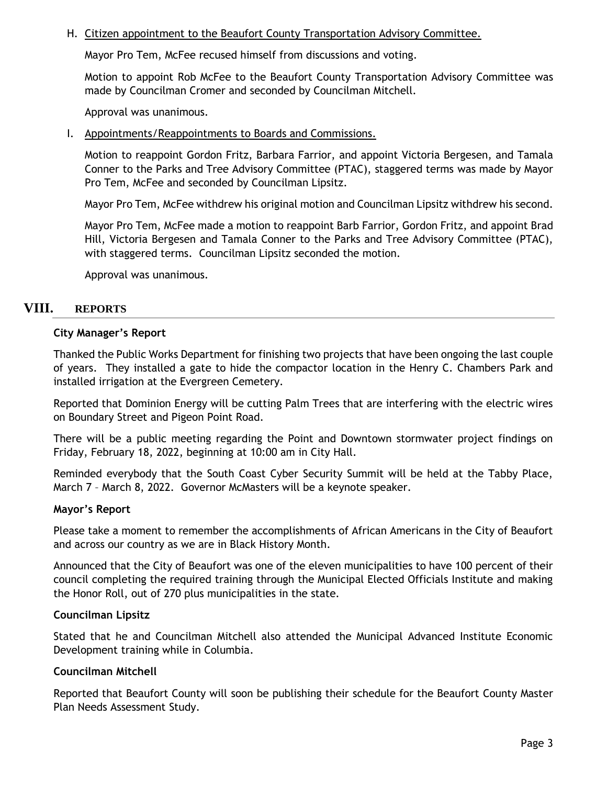### H. Citizen appointment to the Beaufort County Transportation Advisory Committee.

Mayor Pro Tem, McFee recused himself from discussions and voting.

Motion to appoint Rob McFee to the Beaufort County Transportation Advisory Committee was made by Councilman Cromer and seconded by Councilman Mitchell.

Approval was unanimous.

I. Appointments/Reappointments to Boards and Commissions.

Motion to reappoint Gordon Fritz, Barbara Farrior, and appoint Victoria Bergesen, and Tamala Conner to the Parks and Tree Advisory Committee (PTAC), staggered terms was made by Mayor Pro Tem, McFee and seconded by Councilman Lipsitz.

Mayor Pro Tem, McFee withdrew his original motion and Councilman Lipsitz withdrew his second.

Mayor Pro Tem, McFee made a motion to reappoint Barb Farrior, Gordon Fritz, and appoint Brad Hill, Victoria Bergesen and Tamala Conner to the Parks and Tree Advisory Committee (PTAC), with staggered terms. Councilman Lipsitz seconded the motion.

Approval was unanimous.

## **VIII. REPORTS**

## **City Manager's Report**

Thanked the Public Works Department for finishing two projects that have been ongoing the last couple of years. They installed a gate to hide the compactor location in the Henry C. Chambers Park and installed irrigation at the Evergreen Cemetery.

Reported that Dominion Energy will be cutting Palm Trees that are interfering with the electric wires on Boundary Street and Pigeon Point Road.

There will be a public meeting regarding the Point and Downtown stormwater project findings on Friday, February 18, 2022, beginning at 10:00 am in City Hall.

Reminded everybody that the South Coast Cyber Security Summit will be held at the Tabby Place, March 7 – March 8, 2022. Governor McMasters will be a keynote speaker.

### **Mayor's Report**

Please take a moment to remember the accomplishments of African Americans in the City of Beaufort and across our country as we are in Black History Month.

Announced that the City of Beaufort was one of the eleven municipalities to have 100 percent of their council completing the required training through the Municipal Elected Officials Institute and making the Honor Roll, out of 270 plus municipalities in the state.

### **Councilman Lipsitz**

Stated that he and Councilman Mitchell also attended the Municipal Advanced Institute Economic Development training while in Columbia.

### **Councilman Mitchell**

Reported that Beaufort County will soon be publishing their schedule for the Beaufort County Master Plan Needs Assessment Study.